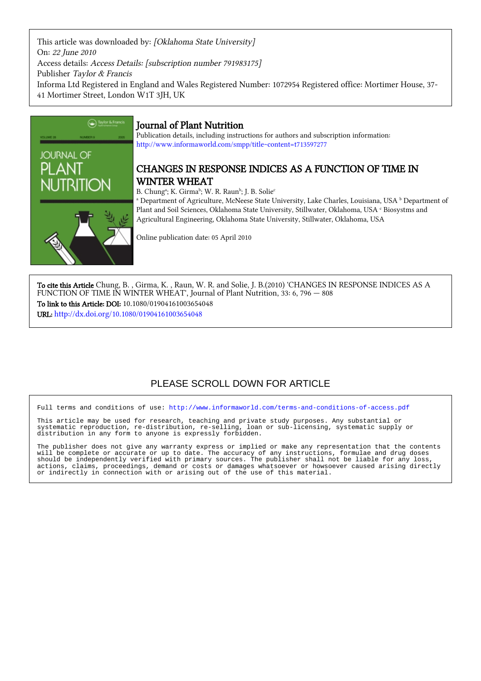This article was downloaded by: [Oklahoma State University] On: 22 June 2010 Access details: Access Details: [subscription number 791983175] Publisher Taylor & Francis Informa Ltd Registered in England and Wales Registered Number: 1072954 Registered office: Mortimer House, 37- 41 Mortimer Street, London W1T 3JH, UK



## Journal of Plant Nutrition

Publication details, including instructions for authors and subscription information: <http://www.informaworld.com/smpp/title~content=t713597277>

## CHANGES IN RESPONSE INDICES AS A FUNCTION OF TIME IN WINTER WHEAT

B. Chungª; K. Girmaʰ; W. R. Raunʰ; J. B. Solie<sup>c</sup>

 $^{\rm a}$  Department of Agriculture, McNeese State University, Lake Charles, Louisiana, USA  $^{\rm b}$  Department of Plant and Soil Sciences, Oklahoma State University, Stillwater, Oklahoma, USA  $^{\rm c}$  Biosystms and Agricultural Engineering, Oklahoma State University, Stillwater, Oklahoma, USA

Online publication date: 05 April 2010

To cite this Article Chung, B. , Girma, K. , Raun, W. R. and Solie, J. B.(2010) 'CHANGES IN RESPONSE INDICES AS A FUNCTION OF TIME IN WINTER WHEAT', Journal of Plant Nutrition, 33: 6, 796 - 808 To link to this Article: DOI: 10.1080/01904161003654048 URL: <http://dx.doi.org/10.1080/01904161003654048>

# PLEASE SCROLL DOWN FOR ARTICLE

Full terms and conditions of use:<http://www.informaworld.com/terms-and-conditions-of-access.pdf>

This article may be used for research, teaching and private study purposes. Any substantial or systematic reproduction, re-distribution, re-selling, loan or sub-licensing, systematic supply or distribution in any form to anyone is expressly forbidden.

The publisher does not give any warranty express or implied or make any representation that the contents will be complete or accurate or up to date. The accuracy of any instructions, formulae and drug doses should be independently verified with primary sources. The publisher shall not be liable for any loss, actions, claims, proceedings, demand or costs or damages whatsoever or howsoever caused arising directly or indirectly in connection with or arising out of the use of this material.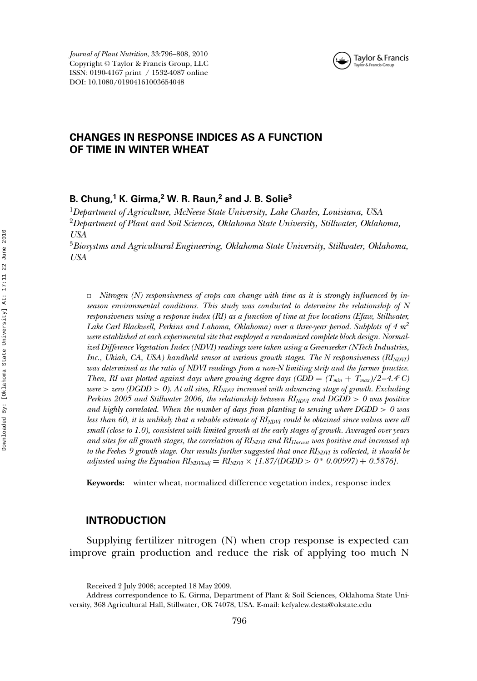

### **CHANGES IN RESPONSE INDICES AS A FUNCTION OF TIME IN WINTER WHEAT**

#### **B. Chung,<sup>1</sup> K. Girma,<sup>2</sup> W. R. Raun,<sup>2</sup> and J. B. Solie3**

<sup>1</sup>*Department of Agriculture, McNeese State University, Lake Charles, Louisiana, USA* <sup>2</sup>*Department of Plant and Soil Sciences, Oklahoma State University, Stillwater, Oklahoma, USA*

<sup>3</sup>*Biosystms and Agricultural Engineering, Oklahoma State University, Stillwater, Oklahoma, USA*

✷ *Nitrogen (N) responsiveness of crops can change with time as it is strongly influenced by inseason environmental conditions. This study was conducted to determine the relationship of N responsiveness using a response index (RI) as a function of time at five locations (Efaw, Stillwater, Lake Carl Blackwell, Perkins and Lahoma, Oklahoma) over a three-year period. Subplots of 4 m2 were established at each experimental site that employed a randomized complete block design. Normalized Difference Vegetation Index (NDVI) readings were taken using a Greenseeker (NTech Industries, Inc., Ukiah, CA, USA) handheld sensor at various growth stages. The N responsiveness (RINDVI) was determined as the ratio of NDVI readings from a non-N limiting strip and the farmer practice. Then, RI was plotted against days where growing degree days (GDD = (T\_{min} + T\_{max})/2 - 4.4<sup><i>c* $</sup>$ *C* $)$ *were* > *zero (DGDD* > *0). At all sites, RINDVI increased with advancing stage of growth. Excluding Perkins 2005 and Stillwater 2006, the relationship between*  $RI_{NDVI}$  *and*  $DGDD > 0$  *was positive and highly correlated. When the number of days from planting to sensing where DGDD* > *0 was less than 60, it is unlikely that a reliable estimate of*  $RI_{NDVI}$  *could be obtained since values were all small (close to 1.0), consistent with limited growth at the early stages of growth. Averaged over years and sites for all growth stages, the correlation of RINDVI and RIHarvest was positive and increased up to the Feekes 9 growth stage. Our results further suggested that once RI<sub>NDVI</sub> is collected, it should be adjusted using the Equation RI<sub>NDVIadj</sub>* =  $RI_{NDVI} \times [1.87/(DGDD) > 0^*$  0.00997) + 0.5876].

**Keywords:** winter wheat, normalized difference vegetation index, response index

#### **INTRODUCTION**

Supplying fertilizer nitrogen (N) when crop response is expected can improve grain production and reduce the risk of applying too much N

Received 2 July 2008; accepted 18 May 2009.

Address correspondence to K. Girma, Department of Plant & Soil Sciences, Oklahoma State University, 368 Agricultural Hall, Stillwater, OK 74078, USA. E-mail: kefyalew.desta@okstate.edu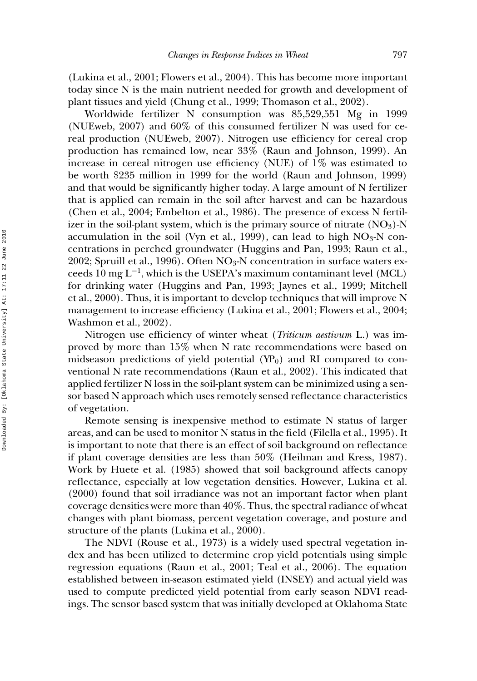(Lukina et al., 2001; Flowers et al., 2004). This has become more important today since N is the main nutrient needed for growth and development of plant tissues and yield (Chung et al., 1999; Thomason et al., 2002).

Worldwide fertilizer N consumption was 85,529,551 Mg in 1999 (NUEweb, 2007) and 60% of this consumed fertilizer N was used for cereal production (NUEweb, 2007). Nitrogen use efficiency for cereal crop production has remained low, near 33% (Raun and Johnson, 1999). An increase in cereal nitrogen use efficiency (NUE) of 1% was estimated to be worth \$235 million in 1999 for the world (Raun and Johnson, 1999) and that would be significantly higher today. A large amount of N fertilizer that is applied can remain in the soil after harvest and can be hazardous (Chen et al., 2004; Embelton et al., 1986). The presence of excess N fertilizer in the soil-plant system, which is the primary source of nitrate  $(NO<sub>3</sub>)$ -N accumulation in the soil (Vyn et al., 1999), can lead to high  $NO<sub>3</sub>-N$  concentrations in perched groundwater (Huggins and Pan, 1993; Raun et al., 2002; Spruill et al., 1996). Often  $NO<sub>3</sub>-N$  concentration in surface waters exceeds 10 mg L<sup>-1</sup>, which is the USEPA's maximum contaminant level (MCL) for drinking water (Huggins and Pan, 1993; Jaynes et al., 1999; Mitchell et al., 2000). Thus, it is important to develop techniques that will improve N management to increase efficiency (Lukina et al., 2001; Flowers et al., 2004; Washmon et al., 2002).

Nitrogen use efficiency of winter wheat (*Triticum aestivum* L.) was improved by more than 15% when N rate recommendations were based on midseason predictions of yield potential  $(YP_0)$  and RI compared to conventional N rate recommendations (Raun et al., 2002). This indicated that applied fertilizer N loss in the soil-plant system can be minimized using a sensor based N approach which uses remotely sensed reflectance characteristics of vegetation.

Remote sensing is inexpensive method to estimate N status of larger areas, and can be used to monitor N status in the field (Filella et al., 1995). It is important to note that there is an effect of soil background on reflectance if plant coverage densities are less than 50% (Heilman and Kress, 1987). Work by Huete et al. (1985) showed that soil background affects canopy reflectance, especially at low vegetation densities. However, Lukina et al. (2000) found that soil irradiance was not an important factor when plant coverage densities were more than 40%. Thus, the spectral radiance of wheat changes with plant biomass, percent vegetation coverage, and posture and structure of the plants (Lukina et al., 2000).

The NDVI (Rouse et al., 1973) is a widely used spectral vegetation index and has been utilized to determine crop yield potentials using simple regression equations (Raun et al., 2001; Teal et al., 2006). The equation established between in-season estimated yield (INSEY) and actual yield was used to compute predicted yield potential from early season NDVI readings. The sensor based system that was initially developed at Oklahoma State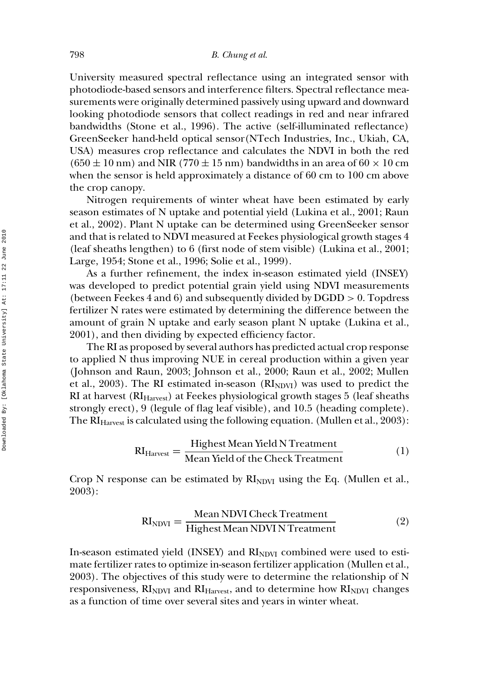University measured spectral reflectance using an integrated sensor with photodiode-based sensors and interference filters. Spectral reflectance measurements were originally determined passively using upward and downward looking photodiode sensors that collect readings in red and near infrared bandwidths (Stone et al., 1996). The active (self-illuminated reflectance) GreenSeeker hand-held optical sensor(NTech Industries, Inc., Ukiah, CA, USA) measures crop reflectance and calculates the NDVI in both the red  $(650 \pm 10 \text{ nm})$  and NIR (770  $\pm 15 \text{ nm}$ ) bandwidths in an area of 60  $\times$  10 cm when the sensor is held approximately a distance of 60 cm to 100 cm above the crop canopy.

Nitrogen requirements of winter wheat have been estimated by early season estimates of N uptake and potential yield (Lukina et al., 2001; Raun et al., 2002). Plant N uptake can be determined using GreenSeeker sensor and that is related to NDVI measured at Feekes physiological growth stages 4 (leaf sheaths lengthen) to 6 (first node of stem visible) (Lukina et al., 2001; Large, 1954; Stone et al., 1996; Solie et al., 1999).

As a further refinement, the index in-season estimated yield (INSEY) was developed to predict potential grain yield using NDVI measurements (between Feekes 4 and 6) and subsequently divided by  $DGDD > 0$ . Topdress fertilizer N rates were estimated by determining the difference between the amount of grain N uptake and early season plant N uptake (Lukina et al., 2001), and then dividing by expected efficiency factor.

The RI as proposed by several authors has predicted actual crop response to applied N thus improving NUE in cereal production within a given year (Johnson and Raun, 2003; Johnson et al., 2000; Raun et al., 2002; Mullen et al., 2003). The RI estimated in-season  $(RI_{NDVI})$  was used to predict the RI at harvest  $(RI<sub>Harvest</sub>)$  at Feekes physiological growth stages 5 (leaf sheaths strongly erect), 9 (legule of flag leaf visible), and 10.5 (heading complete). The  $RI<sub>Harvest</sub>$  is calculated using the following equation. (Mullen et al., 2003):

$$
RIHarvest = \frac{Highest Mean Yield N Treatment}{Mean Yield of the Check Treatment}
$$
 (1)

Crop N response can be estimated by  $RI<sub>NDWI</sub>$  using the Eq. (Mullen et al., 2003):

$$
RINDVI = \frac{Mean NDUI Check Treatment}{Highest Mean NDUI N Treatment}
$$
 (2)

In-season estimated yield (INSEY) and  $RI<sub>NDUI</sub>$  combined were used to estimate fertilizer rates to optimize in-season fertilizer application (Mullen et al., 2003). The objectives of this study were to determine the relationship of N responsiveness,  $RI<sub>NDVI</sub>$  and  $RI<sub>Harvest</sub>$ , and to determine how  $RI<sub>NDVI</sub>$  changes as a function of time over several sites and years in winter wheat.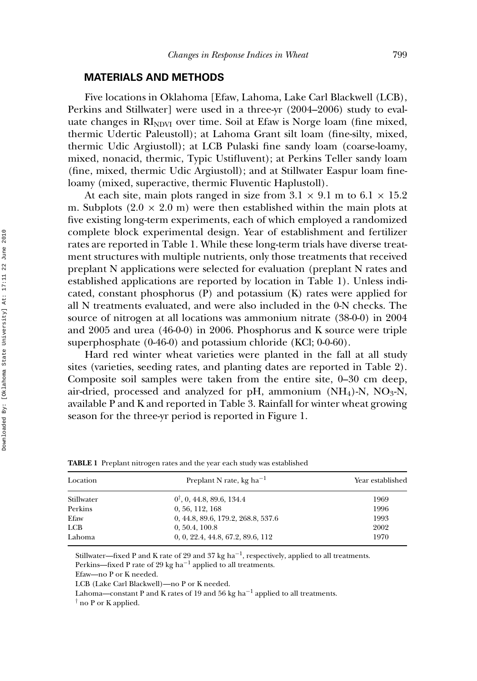#### **MATERIALS AND METHODS**

Five locations in Oklahoma [Efaw, Lahoma, Lake Carl Blackwell (LCB), Perkins and Stillwater] were used in a three-yr (2004–2006) study to evaluate changes in  $RI<sub>NDU</sub>$  over time. Soil at Efaw is Norge loam (fine mixed, thermic Udertic Paleustoll); at Lahoma Grant silt loam (fine-silty, mixed, thermic Udic Argiustoll); at LCB Pulaski fine sandy loam (coarse-loamy, mixed, nonacid, thermic, Typic Ustifluvent); at Perkins Teller sandy loam (fine, mixed, thermic Udic Argiustoll); and at Stillwater Easpur loam fineloamy (mixed, superactive, thermic Fluventic Haplustoll).

At each site, main plots ranged in size from  $3.1 \times 9.1$  m to  $6.1 \times 15.2$ m. Subplots  $(2.0 \times 2.0 \text{ m})$  were then established within the main plots at five existing long-term experiments, each of which employed a randomized complete block experimental design. Year of establishment and fertilizer rates are reported in Table 1. While these long-term trials have diverse treatment structures with multiple nutrients, only those treatments that received preplant N applications were selected for evaluation (preplant N rates and established applications are reported by location in Table 1). Unless indicated, constant phosphorus (P) and potassium (K) rates were applied for all N treatments evaluated, and were also included in the 0-N checks. The source of nitrogen at all locations was ammonium nitrate (38-0-0) in 2004 and 2005 and urea (46-0-0) in 2006. Phosphorus and K source were triple superphosphate (0-46-0) and potassium chloride (KCl; 0-0-60).

Hard red winter wheat varieties were planted in the fall at all study sites (varieties, seeding rates, and planting dates are reported in Table 2). Composite soil samples were taken from the entire site, 0–30 cm deep, air-dried, processed and analyzed for pH, ammonium  $(NH<sub>4</sub>)-N$ ,  $NO<sub>3</sub>-N$ , available P and K and reported in Table 3. Rainfall for winter wheat growing season for the three-yr period is reported in Figure 1.

| Location   | Preplant N rate, kg ha <sup>-1</sup> | Year established |  |
|------------|--------------------------------------|------------------|--|
| Stillwater | $0^{\dagger}$ , 0, 44.8, 89.6, 134.4 | 1969             |  |
| Perkins    | 0.56, 112, 168                       | 1996             |  |
| Efaw       | 0, 44.8, 89.6, 179.2, 268.8, 537.6   | 1993             |  |
| LCB        | 0, 50.4, 100.8                       | 2002             |  |
| Lahoma     | 0, 0, 22.4, 44.8, 67.2, 89.6, 112    | 1970             |  |
|            |                                      |                  |  |

**TABLE 1** Preplant nitrogen rates and the year each study was established

Stillwater—fixed P and K rate of 29 and 37 kg ha−1, respectively, applied to all treatments. Perkins—fixed P rate of 29 kg ha<sup> $-1$ </sup> applied to all treatments.

Efaw—no P or K needed.

LCB (Lake Carl Blackwell)—no P or K needed.

Lahoma—constant P and K rates of 19 and 56 kg ha<sup>-1</sup> applied to all treatments.

† no P or K applied.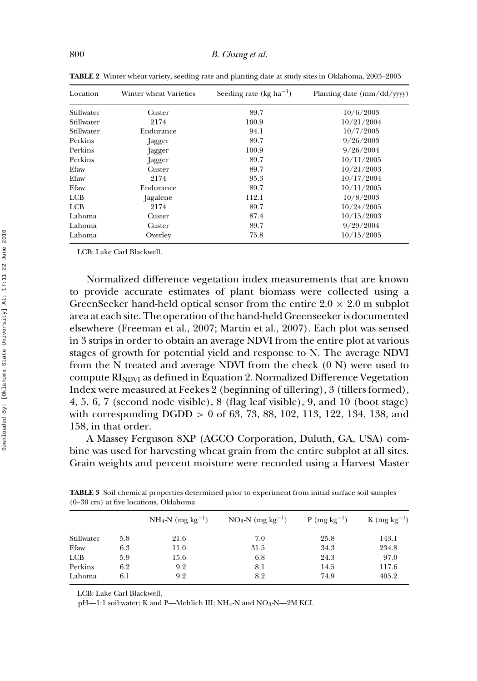| Location   | Winter wheat Varieties | Seeding rate (kg ha <sup>-1</sup> ) | Planting date $\frac{\text{mm}}{\text{dd}}$ /yyyy)<br>10/6/2003 |  |
|------------|------------------------|-------------------------------------|-----------------------------------------------------------------|--|
| Stillwater | Custer                 | 89.7                                |                                                                 |  |
| Stillwater | 2174                   | 100.9                               | 10/21/2004                                                      |  |
| Stillwater | Endurance              | 94.1                                | 10/7/2005                                                       |  |
| Perkins    | Jagger                 | 89.7                                | 9/26/2003                                                       |  |
| Perkins    | Jagger                 | 100.9                               | 9/26/2004                                                       |  |
| Perkins    | Jagger                 | 89.7                                | 10/11/2005                                                      |  |
| Efaw       | Custer                 | 89.7                                | 10/21/2003                                                      |  |
| Efaw       | 2174                   | 95.3                                | 10/17/2004                                                      |  |
| Efaw       | Endurance              | 89.7                                | 10/11/2005                                                      |  |
| <b>LCB</b> | Jagalene               | 112.1                               | 10/8/2003                                                       |  |
| <b>LCB</b> | 2174                   | 89.7                                | 10/24/2005                                                      |  |
| Lahoma     | Custer                 | 87.4                                | 10/15/2003                                                      |  |
| Lahoma     | Custer                 | 89.7                                | 9/29/2004                                                       |  |
| Lahoma     | Overley                | 75.8                                | 10/15/2005                                                      |  |

**TABLE 2** Winter wheat variety, seeding rate and planting date at study sites in Oklahoma, 2003–2005

LCB: Lake Carl Blackwell.

Normalized difference vegetation index measurements that are known to provide accurate estimates of plant biomass were collected using a GreenSeeker hand-held optical sensor from the entire  $2.0 \times 2.0$  m subplot area at each site. The operation of the hand-held Greenseeker is documented elsewhere (Freeman et al., 2007; Martin et al., 2007). Each plot was sensed in 3 strips in order to obtain an average NDVI from the entire plot at various stages of growth for potential yield and response to N. The average NDVI from the N treated and average NDVI from the check  $(0 N)$  were used to compute  $RI<sub>NDVI</sub>$  as defined in Equation 2. Normalized Difference Vegetation Index were measured at Feekes 2 (beginning of tillering), 3 (tillers formed), 4, 5, 6, 7 (second node visible), 8 (flag leaf visible), 9, and 10 (boot stage) with corresponding  $DGDD > 0$  of 63, 73, 88, 102, 113, 122, 134, 138, and 158, in that order.

A Massey Ferguson 8XP (AGCO Corporation, Duluth, GA, USA) combine was used for harvesting wheat grain from the entire subplot at all sites. Grain weights and percent moisture were recorded using a Harvest Master

|            |     | $NH_4-N$ (mg kg <sup>-1</sup> ) | $NO_3-N$ (mg kg <sup>-1</sup> ) | $P (mg kg^{-1})$ | $K$ (mg kg <sup>-1</sup> ) |
|------------|-----|---------------------------------|---------------------------------|------------------|----------------------------|
| Stillwater | 5.8 | 21.6                            | 7.0                             | 25.8             | 143.1                      |
| Efaw       | 6.3 | 11.0                            | 31.5                            | 34.3             | 234.8                      |
| LCB        | 5.9 | 15.6                            | 6.8                             | 24.3             | 97.0                       |
| Perkins    | 6.2 | 9.2                             | 8.1                             | 14.5             | 117.6                      |
| Lahoma     | 6.1 | 9.2                             | 8.2                             | 74.9             | 405.2                      |
|            |     |                                 |                                 |                  |                            |

**TABLE 3** Soil chemical properties determined prior to experiment from initial surface soil samples (0–30 cm) at five locations, Oklahoma

LCB: Lake Carl Blackwell.

pH-1:1 soil:water; K and P-Mehlich III; NH<sub>4</sub>-N and NO<sub>3</sub>-N-2M KCI.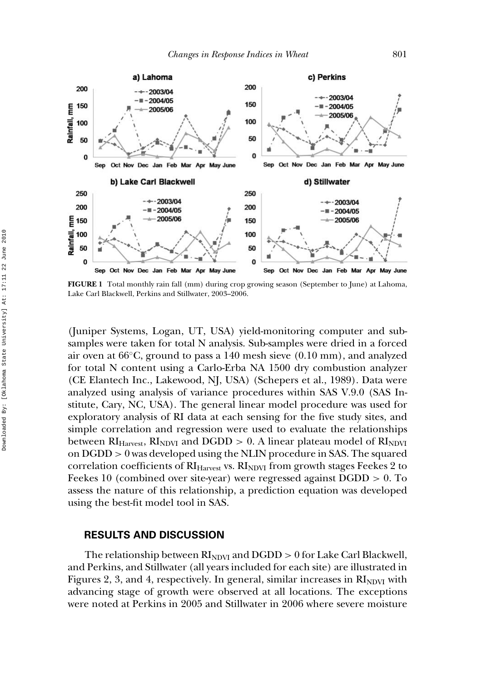

**FIGURE 1** Total monthly rain fall (mm) during crop growing season (September to June) at Lahoma, Lake Carl Blackwell, Perkins and Stillwater, 2003–2006.

(Juniper Systems, Logan, UT, USA) yield-monitoring computer and subsamples were taken for total N analysis. Sub-samples were dried in a forced air oven at 66◦C, ground to pass a 140 mesh sieve (0.10 mm), and analyzed for total N content using a Carlo-Erba NA 1500 dry combustion analyzer (CE Elantech Inc., Lakewood, NJ, USA) (Schepers et al., 1989). Data were analyzed using analysis of variance procedures within SAS V.9.0 (SAS Institute, Cary, NC, USA). The general linear model procedure was used for exploratory analysis of RI data at each sensing for the five study sites, and simple correlation and regression were used to evaluate the relationships between  $RI<sub>Harvest</sub>$ ,  $RI<sub>NDVI</sub>$  and  $DGDD > 0$ . A linear plateau model of  $RI<sub>NDVI</sub>$ on DGDD > 0 was developed using the NLIN procedure in SAS. The squared correlation coefficients of  $RI<sub>Harvest</sub>$  vs.  $RI<sub>NDVI</sub>$  from growth stages Feekes 2 to Feekes 10 (combined over site-year) were regressed against DGDD > 0. To assess the nature of this relationship, a prediction equation was developed using the best-fit model tool in SAS.

#### **RESULTS AND DISCUSSION**

The relationship between  $RI<sub>NDVI</sub>$  and  $DGDD > 0$  for Lake Carl Blackwell, and Perkins, and Stillwater (all years included for each site) are illustrated in Figures 2, 3, and 4, respectively. In general, similar increases in  $\rm RI_{NDVI}$  with advancing stage of growth were observed at all locations. The exceptions were noted at Perkins in 2005 and Stillwater in 2006 where severe moisture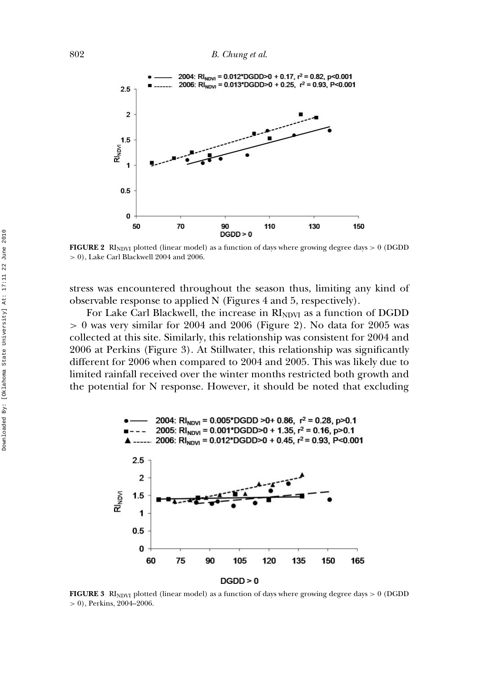

**FIGURE 2** RI<sub>NDVI</sub> plotted (linear model) as a function of days where growing degree days  $> 0$  (DGDD > 0), Lake Carl Blackwell 2004 and 2006.

stress was encountered throughout the season thus, limiting any kind of observable response to applied N (Figures 4 and 5, respectively).

For Lake Carl Blackwell, the increase in  $RI<sub>NDVI</sub>$  as a function of DGDD  $> 0$  was very similar for 2004 and 2006 (Figure 2). No data for 2005 was collected at this site. Similarly, this relationship was consistent for 2004 and 2006 at Perkins (Figure 3). At Stillwater, this relationship was significantly different for 2006 when compared to 2004 and 2005. This was likely due to limited rainfall received over the winter months restricted both growth and the potential for N response. However, it should be noted that excluding



**FIGURE 3** RI<sub>NDVI</sub> plotted (linear model) as a function of days where growing degree days  $> 0$  (DGDD > 0), Perkins, 2004–2006.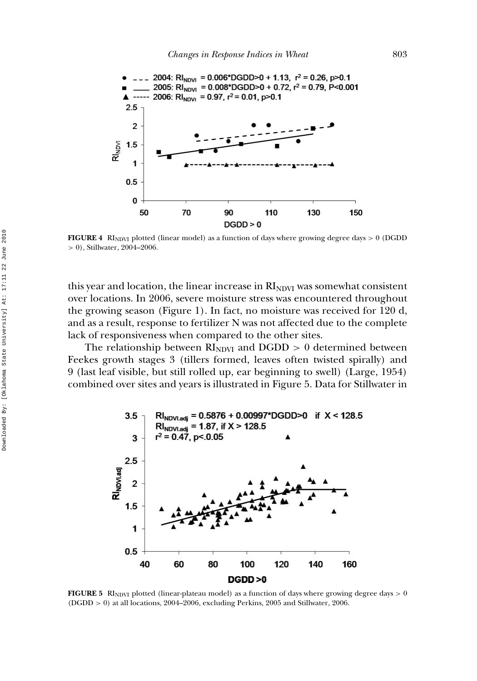

**FIGURE 4** RINDVI plotted (linear model) as a function of days where growing degree days  $> 0$  (DGDD > 0), Stillwater, 2004–2006.

this year and location, the linear increase in  $RI<sub>NDU</sub>$  was somewhat consistent over locations. In 2006, severe moisture stress was encountered throughout the growing season (Figure 1). In fact, no moisture was received for 120 d, and as a result, response to fertilizer N was not affected due to the complete lack of responsiveness when compared to the other sites.

The relationship between  $RI<sub>NDVI</sub>$  and  $DGDD > 0$  determined between Feekes growth stages 3 (tillers formed, leaves often twisted spirally) and 9 (last leaf visible, but still rolled up, ear beginning to swell) (Large, 1954) combined over sites and years is illustrated in Figure 5. Data for Stillwater in



**FIGURE 5** RINDVI plotted (linear-plateau model) as a function of days where growing degree days  $> 0$ (DGDD > 0) at all locations, 2004–2006, excluding Perkins, 2005 and Stillwater, 2006.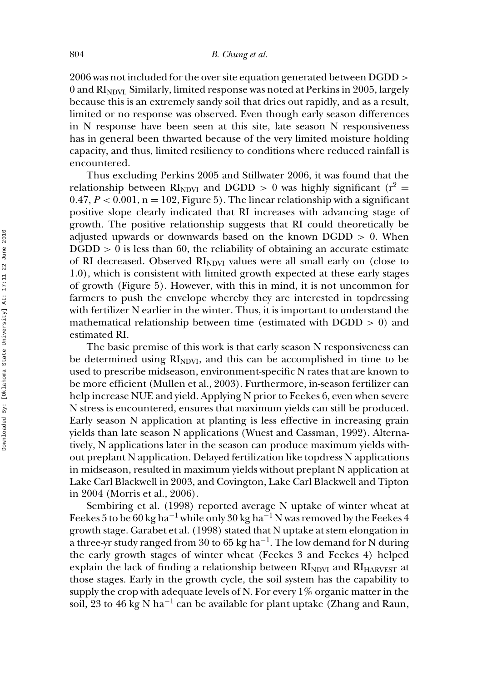2006 was not included for the over site equation generated between DGDD > 0 and  $RI<sub>NDVI</sub>$ . Similarly, limited response was noted at Perkins in 2005, largely because this is an extremely sandy soil that dries out rapidly, and as a result, limited or no response was observed. Even though early season differences in N response have been seen at this site, late season N responsiveness has in general been thwarted because of the very limited moisture holding capacity, and thus, limited resiliency to conditions where reduced rainfall is encountered.

Thus excluding Perkins 2005 and Stillwater 2006, it was found that the relationship between  $RI<sub>NDWI</sub>$  and DGDD  $> 0$  was highly significant (r<sup>2</sup> = 0.47,  $P < 0.001$ ,  $n = 102$ , Figure 5). The linear relationship with a significant positive slope clearly indicated that RI increases with advancing stage of growth. The positive relationship suggests that RI could theoretically be adjusted upwards or downwards based on the known  $DGDD > 0$ . When  $DGDD > 0$  is less than 60, the reliability of obtaining an accurate estimate of RI decreased. Observed  $RI<sub>NDVI</sub>$  values were all small early on (close to 1.0), which is consistent with limited growth expected at these early stages of growth (Figure 5). However, with this in mind, it is not uncommon for farmers to push the envelope whereby they are interested in topdressing with fertilizer N earlier in the winter. Thus, it is important to understand the mathematical relationship between time (estimated with  $DGDD > 0$ ) and estimated RI.

The basic premise of this work is that early season N responsiveness can be determined using  $\rm RI_{NDVI}$ , and this can be accomplished in time to be used to prescribe midseason, environment-specific N rates that are known to be more efficient (Mullen et al., 2003). Furthermore, in-season fertilizer can help increase NUE and yield. Applying N prior to Feekes 6, even when severe N stress is encountered, ensures that maximum yields can still be produced. Early season N application at planting is less effective in increasing grain yields than late season N applications (Wuest and Cassman, 1992). Alternatively, N applications later in the season can produce maximum yields without preplant N application. Delayed fertilization like topdress N applications in midseason, resulted in maximum yields without preplant N application at Lake Carl Blackwell in 2003, and Covington, Lake Carl Blackwell and Tipton in 2004 (Morris et al., 2006).

Sembiring et al. (1998) reported average N uptake of winter wheat at Feekes 5 to be 60 kg ha<sup>-1</sup> while only 30 kg ha<sup>-1</sup> N was removed by the Feekes 4 growth stage. Garabet et al. (1998) stated that N uptake at stem elongation in a three-yr study ranged from 30 to 65 kg ha<sup>-1</sup>. The low demand for N during the early growth stages of winter wheat (Feekes 3 and Feekes 4) helped explain the lack of finding a relationship between  $\text{RI}_{\text{NDVI}}$  and  $\text{RI}_{\text{HARVEST}}$  at those stages. Early in the growth cycle, the soil system has the capability to supply the crop with adequate levels of N. For every 1% organic matter in the soil, 23 to 46 kg N ha<sup>-1</sup> can be available for plant uptake (Zhang and Raun,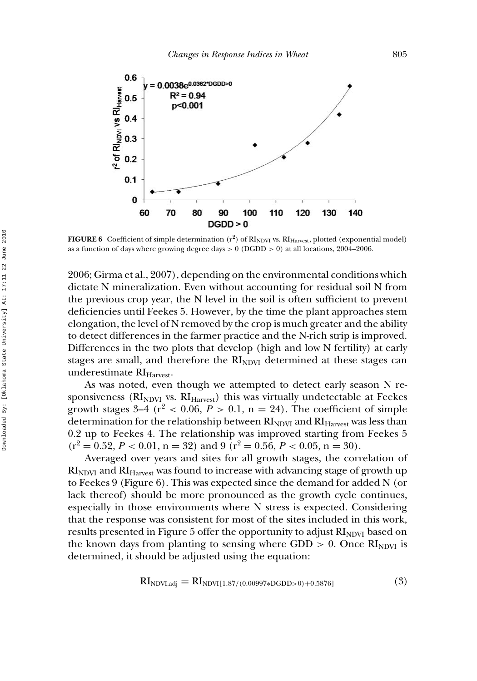

**FIGURE 6** Coefficient of simple determination (r<sup>2</sup>) of RI<sub>NDVI</sub> vs. RI<sub>Harvest</sub>, plotted (exponential model) as a function of days where growing degree days  $> 0$  (DGDD  $> 0$ ) at all locations, 2004–2006.

2006; Girma et al., 2007), depending on the environmental conditions which dictate N mineralization. Even without accounting for residual soil N from the previous crop year, the N level in the soil is often sufficient to prevent deficiencies until Feekes 5. However, by the time the plant approaches stem elongation, the level of N removed by the crop is much greater and the ability to detect differences in the farmer practice and the N-rich strip is improved. Differences in the two plots that develop (high and low N fertility) at early stages are small, and therefore the  $\rm RI_{NDVI}$  determined at these stages can underestimate RI<sub>Harvest</sub>.

As was noted, even though we attempted to detect early season N responsiveness ( $\text{RI}_{\text{NDVI}}$  vs.  $\text{RI}_{\text{Harvest}}$ ) this was virtually undetectable at Feekes growth stages  $3-4$  ( $r^2 < 0.06$ ,  $P > 0.1$ ,  $n = 24$ ). The coefficient of simple determination for the relationship between  $RI<sub>NDVI</sub>$  and  $RI<sub>Harvest</sub>$  was less than 0.2 up to Feekes 4. The relationship was improved starting from Feekes 5  $(r^2 = 0.52, P < 0.01, n = 32)$  and 9  $(r^2 = 0.56, P < 0.05, n = 30)$ .

Averaged over years and sites for all growth stages, the correlation of  $\rm RI_{NDVI}$  and  $\rm RI_{Harvest}$  was found to increase with advancing stage of growth up to Feekes 9 (Figure 6). This was expected since the demand for added N (or lack thereof) should be more pronounced as the growth cycle continues, especially in those environments where N stress is expected. Considering that the response was consistent for most of the sites included in this work, results presented in Figure 5 offer the opportunity to adjust  $\rm R_{NDVI}$  based on the known days from planting to sensing where GDD  $> 0$ . Once  $\text{RI}_{\text{NDVI}}$  is determined, it should be adjusted using the equation:

$$
RI_{NDVI,adj} = RI_{NDVI[1.87/(0.00997*DGDD>0)+0.5876]} \tag{3}
$$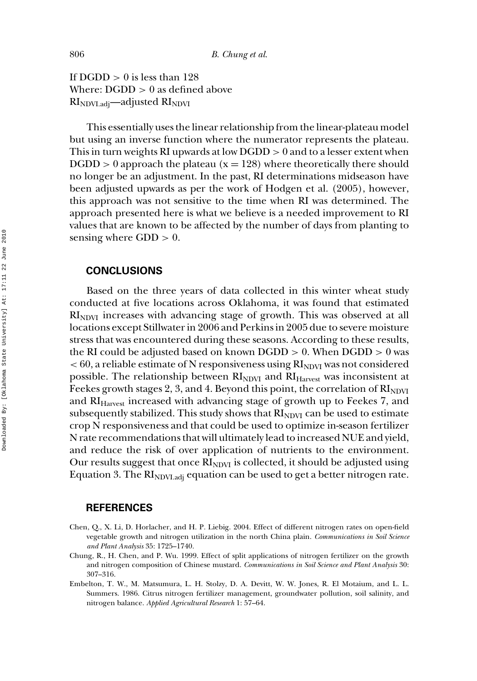If  $DGDD > 0$  is less than 128 Where:  $DGDD > 0$  as defined above  $RI<sub>NDU1.adj</sub>$ —adjusted  $RI<sub>NDU1</sub>$ 

This essentially uses the linear relationship from the linear-plateau model but using an inverse function where the numerator represents the plateau. This in turn weights RI upwards at low  $DGDD > 0$  and to a lesser extent when  $DGDD > 0$  approach the plateau ( $x = 128$ ) where theoretically there should no longer be an adjustment. In the past, RI determinations midseason have been adjusted upwards as per the work of Hodgen et al. (2005), however, this approach was not sensitive to the time when RI was determined. The approach presented here is what we believe is a needed improvement to RI values that are known to be affected by the number of days from planting to sensing where  $GDD > 0$ .

#### **CONCLUSIONS**

Based on the three years of data collected in this winter wheat study conducted at five locations across Oklahoma, it was found that estimated  $RI<sub>NDVI</sub>$  increases with advancing stage of growth. This was observed at all locations except Stillwater in 2006 and Perkins in 2005 due to severe moisture stress that was encountered during these seasons. According to these results, the RI could be adjusted based on known  $\rm DGDD > 0.$  When  $\rm DGDD > 0$  was  $<$  60, a reliable estimate of N responsiveness using  $\mathrm{RI}_\mathrm{NDVI}$  was not considered possible. The relationship between  $\rm{RI}_{NDVI}$  and  $\rm{RI}_{Harvest}$  was inconsistent at Feekes growth stages 2, 3, and 4. Beyond this point, the correlation of  $\text{RI}_{\text{NDVI}}$ and RI<sub>Harvest</sub> increased with advancing stage of growth up to Feekes 7, and subsequently stabilized. This study shows that  $RI<sub>NDVI</sub>$  can be used to estimate crop N responsiveness and that could be used to optimize in-season fertilizer N rate recommendations that will ultimately lead to increased NUE and yield, and reduce the risk of over application of nutrients to the environment. Our results suggest that once  $RI<sub>NDVI</sub>$  is collected, it should be adjusted using Equation 3. The  $RI<sub>NDV1.adj</sub>$  equation can be used to get a better nitrogen rate.

#### **REFERENCES**

- Chen, Q., X. Li, D. Horlacher, and H. P. Liebig. 2004. Effect of different nitrogen rates on open-field vegetable growth and nitrogen utilization in the north China plain. *Communications in Soil Science and Plant Analysis* 35: 1725–1740.
- Chung, R., H. Chen, and P. Wu. 1999. Effect of split applications of nitrogen fertilizer on the growth and nitrogen composition of Chinese mustard. *Communications in Soil Science and Plant Analysis* 30: 307–316.
- Embelton, T. W., M. Matsumura, L. H. Stolzy, D. A. Devitt, W. W. Jones, R. El Motaium, and L. L. Summers. 1986. Citrus nitrogen fertilizer management, groundwater pollution, soil salinity, and nitrogen balance. *Applied Agricultural Research* 1: 57–64.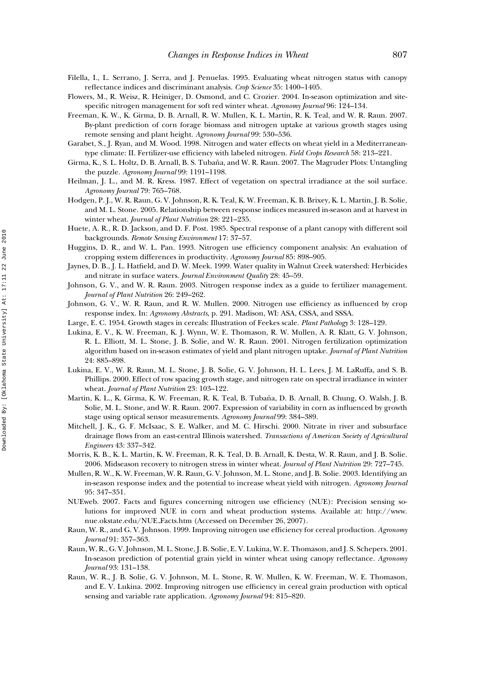- Filella, I., L. Serrano, J. Serra, and J. Penuelas. 1995. Evaluating wheat nitrogen status with canopy reflectance indices and discriminant analysis. *Crop Science* 35: 1400–1405.
- Flowers, M., R. Weisz, R. Heiniger, D. Osmond, and C. Crozier. 2004. In-season optimization and sitespecific nitrogen management for soft red winter wheat. *Agronomy Journal* 96: 124–134.
- Freeman, K. W., K. Girma, D. B. Arnall, R. W. Mullen, K. L. Martin, R. K. Teal, and W. R. Raun. 2007. By-plant prediction of corn forage biomass and nitrogen uptake at various growth stages using remote sensing and plant height. *Agronomy Journal* 99: 530–536.
- Garabet, S., J. Ryan, and M. Wood. 1998. Nitrogen and water effects on wheat yield in a Mediterraneantype climate: II. Fertilizer-use efficiency with labeled nitrogen. *Field Crops Research* 58: 213–221.
- Girma, K., S. L. Holtz, D. B. Arnall, B. S. Tubaña, and W. R. Raun. 2007. The Magruder Plots: Untangling the puzzle. *Agronomy Journal* 99: 1191–1198.
- Heilman, J. L., and M. R. Kress. 1987. Effect of vegetation on spectral irradiance at the soil surface. *Agronomy Journal* 79: 765–768.
- Hodgen, P. J., W. R. Raun, G. V. Johnson, R. K. Teal, K. W. Freeman, K. B. Brixey, K. L. Martin, J. B. Solie, and M. L. Stone. 2005. Relationship between response indices measured in-season and at harvest in winter wheat. *Journal of Plant Nutrition* 28: 221–235.
- Huete, A. R., R. D. Jackson, and D. F. Post. 1985. Spectral response of a plant canopy with different soil backgrounds. *Remote Sensing Environment* 17: 37–57.
- Huggins, D. R., and W. L. Pan. 1993. Nitrogen use efficiency component analysis: An evaluation of cropping system differences in productivity. *Agronomy Journal* 85: 898–905.
- Jaynes, D. B., J. L. Hatfield, and D. W. Meek. 1999. Water quality in Walnut Creek watershed: Herbicides and nitrate in surface waters. *Journal Environment Quality* 28: 45–59.
- Johnson, G. V., and W. R. Raun. 2003. Nitrogen response index as a guide to fertilizer management. *Journal of Plant Nutrition* 26: 249–262.
- Johnson, G. V., W. R. Raun, and R. W. Mullen. 2000. Nitrogen use efficiency as influenced by crop response index. In: *Agronomy Abstracts*, p. 291. Madison, WI: ASA, CSSA, and SSSA.
- Large, E. C. 1954. Growth stages in cereals: Illustration of Feekes scale. *Plant Pathology* 3: 128–129.
- Lukina, E. V., K. W. Freeman, K. J. Wynn, W. E. Thomason, R. W. Mullen, A. R. Klatt, G. V. Johnson, R. L. Elliott, M. L. Stone, J. B. Solie, and W. R. Raun. 2001. Nitrogen fertilization optimization algorithm based on in-season estimates of yield and plant nitrogen uptake. *Journal of Plant Nutrition* 24: 885–898.
- Lukina, E. V., W. R. Raun, M. L. Stone, J. B. Solie, G. V. Johnson, H. L. Lees, J. M. LaRuffa, and S. B. Phillips. 2000. Effect of row spacing growth stage, and nitrogen rate on spectral irradiance in winter wheat. *Journal of Plant Nutrition* 23: 103–122.
- Martin, K. L., K. Girma, K. W. Freeman, R. K. Teal, B. Tubaña, D. B. Arnall, B. Chung, O. Walsh, J. B. Solie, M. L. Stone, and W. R. Raun. 2007. Expression of variability in corn as influenced by growth stage using optical sensor measurements. *Agronomy Journal* 99: 384–389.
- Mitchell, J. K., G. F. McIsaac, S. E. Walker, and M. C. Hirschi. 2000. Nitrate in river and subsurface drainage flows from an east-central Illinois watershed. *Transactions of American Society of Agricultural Engineers* 43: 337–342.
- Morris, K. B., K. L. Martin, K. W. Freeman, R. K. Teal, D. B. Arnall, K. Desta, W. R. Raun, and J. B. Solie. 2006. Midseason recovery to nitrogen stress in winter wheat. *Journal of Plant Nutrition* 29: 727–745.
- Mullen, R. W., K. W. Freeman, W. R. Raun, G. V. Johnson, M. L. Stone, and J. B. Solie. 2003. Identifying an in-season response index and the potential to increase wheat yield with nitrogen. *Agronomy Journal* 95: 347–351.
- NUEweb. 2007. Facts and figures concerning nitrogen use efficiency (NUE): Precision sensing solutions for improved NUE in corn and wheat production systems. Available at: http://www. nue.okstate.edu/NUE Facts.htm (Accessed on December 26, 2007).
- Raun, W. R., and G. V. Johnson. 1999. Improving nitrogen use efficiency for cereal production. *Agronomy Journal* 91: 357–363.
- Raun, W. R., G. V. Johnson, M. L. Stone, J. B. Solie, E. V. Lukina, W. E. Thomason, and J. S. Schepers. 2001. In-season prediction of potential grain yield in winter wheat using canopy reflectance. *Agronomy Journal* 93: 131–138.
- Raun, W. R., J. B. Solie, G. V. Johnson, M. L. Stone, R. W. Mullen, K. W. Freeman, W. E. Thomason, and E. V. Lukina. 2002. Improving nitrogen use efficiency in cereal grain production with optical sensing and variable rate application. *Agronomy Journal* 94: 815–820.